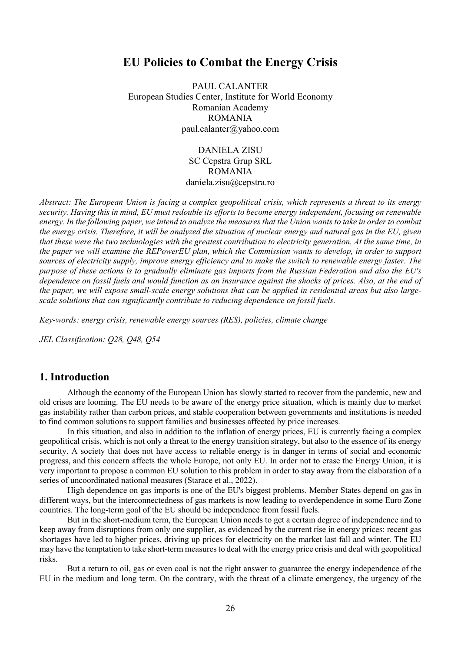# EU Policies to Combat the Energy Crisis

PAUL CALANTER European Studies Center, Institute for World Economy Romanian Academy ROMANIA paul.calanter@yahoo.com

> DANIELA ZISU SC Cepstra Grup SRL ROMANIA daniela.zisu@cepstra.ro

Abstract: The European Union is facing a complex geopolitical crisis, which represents a threat to its energy security. Having this in mind, EU must redouble its efforts to become energy independent, focusing on renewable energy. In the following paper, we intend to analyze the measures that the Union wants to take in order to combat the energy crisis. Therefore, it will be analyzed the situation of nuclear energy and natural gas in the EU, given that these were the two technologies with the greatest contribution to electricity generation. At the same time, in the paper we will examine the REPowerEU plan, which the Commission wants to develop, in order to support sources of electricity supply, improve energy efficiency and to make the switch to renewable energy faster. The purpose of these actions is to gradually eliminate gas imports from the Russian Federation and also the EU's dependence on fossil fuels and would function as an insurance against the shocks of prices. Also, at the end of the paper, we will expose small-scale energy solutions that can be applied in residential areas but also largescale solutions that can significantly contribute to reducing dependence on fossil fuels.

Key-words: energy crisis, renewable energy sources (RES), policies, climate change

JEL Classification: Q28, Q48, Q54

## 1. Introduction

Although the economy of the European Union has slowly started to recover from the pandemic, new and old crises are looming. The EU needs to be aware of the energy price situation, which is mainly due to market gas instability rather than carbon prices, and stable cooperation between governments and institutions is needed to find common solutions to support families and businesses affected by price increases.

In this situation, and also in addition to the inflation of energy prices, EU is currently facing a complex geopolitical crisis, which is not only a threat to the energy transition strategy, but also to the essence of its energy security. A society that does not have access to reliable energy is in danger in terms of social and economic progress, and this concern affects the whole Europe, not only EU. In order not to erase the Energy Union, it is very important to propose a common EU solution to this problem in order to stay away from the elaboration of a series of uncoordinated national measures (Starace et al., 2022).

High dependence on gas imports is one of the EU's biggest problems. Member States depend on gas in different ways, but the interconnectedness of gas markets is now leading to overdependence in some Euro Zone countries. The long-term goal of the EU should be independence from fossil fuels.

But in the short-medium term, the European Union needs to get a certain degree of independence and to keep away from disruptions from only one supplier, as evidenced by the current rise in energy prices: recent gas shortages have led to higher prices, driving up prices for electricity on the market last fall and winter. The EU may have the temptation to take short-term measures to deal with the energy price crisis and deal with geopolitical risks.

But a return to oil, gas or even coal is not the right answer to guarantee the energy independence of the EU in the medium and long term. On the contrary, with the threat of a climate emergency, the urgency of the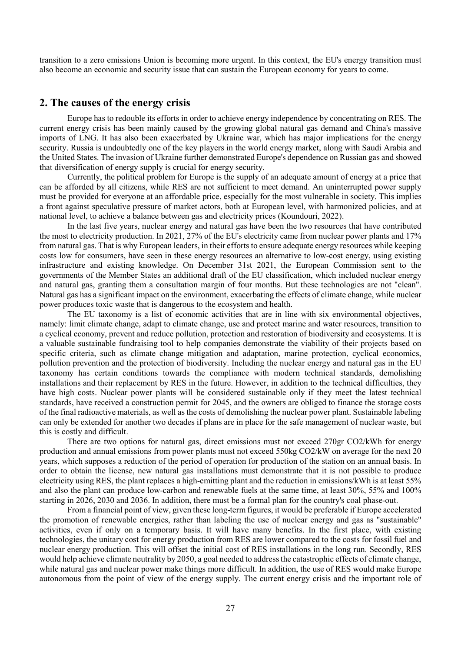transition to a zero emissions Union is becoming more urgent. In this context, the EU's energy transition must also become an economic and security issue that can sustain the European economy for years to come.

#### 2. The causes of the energy crisis

Europe has to redouble its efforts in order to achieve energy independence by concentrating on RES. The current energy crisis has been mainly caused by the growing global natural gas demand and China's massive imports of LNG. It has also been exacerbated by Ukraine war, which has major implications for the energy security. Russia is undoubtedly one of the key players in the world energy market, along with Saudi Arabia and the United States. The invasion of Ukraine further demonstrated Europe's dependence on Russian gas and showed that diversification of energy supply is crucial for energy security.

Currently, the political problem for Europe is the supply of an adequate amount of energy at a price that can be afforded by all citizens, while RES are not sufficient to meet demand. An uninterrupted power supply must be provided for everyone at an affordable price, especially for the most vulnerable in society. This implies a front against speculative pressure of market actors, both at European level, with harmonized policies, and at national level, to achieve a balance between gas and electricity prices (Koundouri, 2022).

In the last five years, nuclear energy and natural gas have been the two resources that have contributed the most to electricity production. In 2021, 27% of the EU's electricity came from nuclear power plants and 17% from natural gas. That is why European leaders, in their efforts to ensure adequate energy resources while keeping costs low for consumers, have seen in these energy resources an alternative to low-cost energy, using existing infrastructure and existing knowledge. On December 31st 2021, the European Commission sent to the governments of the Member States an additional draft of the EU classification, which included nuclear energy and natural gas, granting them a consultation margin of four months. But these technologies are not "clean". Natural gas has a significant impact on the environment, exacerbating the effects of climate change, while nuclear power produces toxic waste that is dangerous to the ecosystem and health.

The EU taxonomy is a list of economic activities that are in line with six environmental objectives, namely: limit climate change, adapt to climate change, use and protect marine and water resources, transition to a cyclical economy, prevent and reduce pollution, protection and restoration of biodiversity and ecosystems. It is a valuable sustainable fundraising tool to help companies demonstrate the viability of their projects based on specific criteria, such as climate change mitigation and adaptation, marine protection, cyclical economics, pollution prevention and the protection of biodiversity. Including the nuclear energy and natural gas in the EU taxonomy has certain conditions towards the compliance with modern technical standards, demolishing installations and their replacement by RES in the future. However, in addition to the technical difficulties, they have high costs. Nuclear power plants will be considered sustainable only if they meet the latest technical standards, have received a construction permit for 2045, and the owners are obliged to finance the storage costs of the final radioactive materials, as well as the costs of demolishing the nuclear power plant. Sustainable labeling can only be extended for another two decades if plans are in place for the safe management of nuclear waste, but this is costly and difficult.

There are two options for natural gas, direct emissions must not exceed 270gr CO2/kWh for energy production and annual emissions from power plants must not exceed 550kg CO2/kW on average for the next 20 years, which supposes a reduction of the period of operation for production of the station on an annual basis. In order to obtain the license, new natural gas installations must demonstrate that it is not possible to produce electricity using RES, the plant replaces a high-emitting plant and the reduction in emissions/kWh is at least 55% and also the plant can produce low-carbon and renewable fuels at the same time, at least 30%, 55% and 100% starting in 2026, 2030 and 2036. In addition, there must be a formal plan for the country's coal phase-out.

From a financial point of view, given these long-term figures, it would be preferable if Europe accelerated the promotion of renewable energies, rather than labeling the use of nuclear energy and gas as "sustainable" activities, even if only on a temporary basis. It will have many benefits. In the first place, with existing technologies, the unitary cost for energy production from RES are lower compared to the costs for fossil fuel and nuclear energy production. This will offset the initial cost of RES installations in the long run. Secondly, RES would help achieve climate neutrality by 2050, a goal needed to address the catastrophic effects of climate change, while natural gas and nuclear power make things more difficult. In addition, the use of RES would make Europe autonomous from the point of view of the energy supply. The current energy crisis and the important role of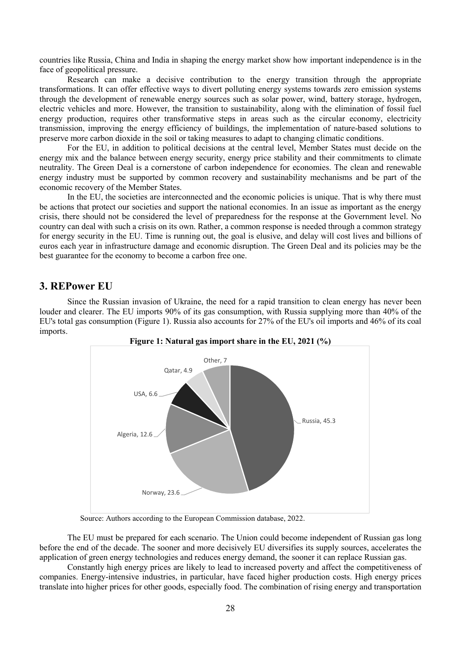countries like Russia, China and India in shaping the energy market show how important independence is in the face of geopolitical pressure.

Research can make a decisive contribution to the energy transition through the appropriate transformations. It can offer effective ways to divert polluting energy systems towards zero emission systems through the development of renewable energy sources such as solar power, wind, battery storage, hydrogen, electric vehicles and more. However, the transition to sustainability, along with the elimination of fossil fuel energy production, requires other transformative steps in areas such as the circular economy, electricity transmission, improving the energy efficiency of buildings, the implementation of nature-based solutions to preserve more carbon dioxide in the soil or taking measures to adapt to changing climatic conditions.

For the EU, in addition to political decisions at the central level, Member States must decide on the energy mix and the balance between energy security, energy price stability and their commitments to climate neutrality. The Green Deal is a cornerstone of carbon independence for economies. The clean and renewable energy industry must be supported by common recovery and sustainability mechanisms and be part of the economic recovery of the Member States.

In the EU, the societies are interconnected and the economic policies is unique. That is why there must be actions that protect our societies and support the national economies. In an issue as important as the energy crisis, there should not be considered the level of preparedness for the response at the Government level. No country can deal with such a crisis on its own. Rather, a common response is needed through a common strategy for energy security in the EU. Time is running out, the goal is elusive, and delay will cost lives and billions of euros each year in infrastructure damage and economic disruption. The Green Deal and its policies may be the best guarantee for the economy to become a carbon free one.

### 3. REPower EU

Since the Russian invasion of Ukraine, the need for a rapid transition to clean energy has never been louder and clearer. The EU imports 90% of its gas consumption, with Russia supplying more than 40% of the EU's total gas consumption (Figure 1). Russia also accounts for 27% of the EU's oil imports and 46% of its coal imports.



Source: Authors according to the European Commission database, 2022.

The EU must be prepared for each scenario. The Union could become independent of Russian gas long before the end of the decade. The sooner and more decisively EU diversifies its supply sources, accelerates the application of green energy technologies and reduces energy demand, the sooner it can replace Russian gas.

Constantly high energy prices are likely to lead to increased poverty and affect the competitiveness of companies. Energy-intensive industries, in particular, have faced higher production costs. High energy prices translate into higher prices for other goods, especially food. The combination of rising energy and transportation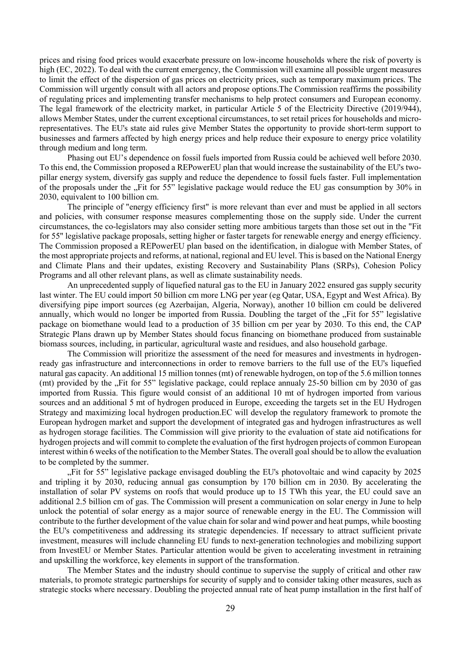prices and rising food prices would exacerbate pressure on low-income households where the risk of poverty is high (EC, 2022). To deal with the current emergency, the Commission will examine all possible urgent measures to limit the effect of the dispersion of gas prices on electricity prices, such as temporary maximum prices. The Commission will urgently consult with all actors and propose options.The Commission reaffirms the possibility of regulating prices and implementing transfer mechanisms to help protect consumers and European economy. The legal framework of the electricity market, in particular Article 5 of the Electricity Directive (2019/944), allows Member States, under the current exceptional circumstances, to set retail prices for households and microrepresentatives. The EU's state aid rules give Member States the opportunity to provide short-term support to businesses and farmers affected by high energy prices and help reduce their exposure to energy price volatility through medium and long term.

Phasing out EU's dependence on fossil fuels imported from Russia could be achieved well before 2030. To this end, the Commission proposed a REPowerEU plan that would increase the sustainability of the EU's twopillar energy system, diversify gas supply and reduce the dependence to fossil fuels faster. Full implementation of the proposals under the "Fit for 55" legislative package would reduce the EU gas consumption by 30% in 2030, equivalent to 100 billion cm.

The principle of "energy efficiency first" is more relevant than ever and must be applied in all sectors and policies, with consumer response measures complementing those on the supply side. Under the current circumstances, the co-legislators may also consider setting more ambitious targets than those set out in the "Fit for 55" legislative package proposals, setting higher or faster targets for renewable energy and energy efficiency. The Commission proposed a REPowerEU plan based on the identification, in dialogue with Member States, of the most appropriate projects and reforms, at national, regional and EU level. This is based on the National Energy and Climate Plans and their updates, existing Recovery and Sustainability Plans (SRPs), Cohesion Policy Programs and all other relevant plans, as well as climate sustainability needs.

An unprecedented supply of liquefied natural gas to the EU in January 2022 ensured gas supply security last winter. The EU could import 50 billion cm more LNG per year (eg Qatar, USA, Egypt and West Africa). By diversifying pipe import sources (eg Azerbaijan, Algeria, Norway), another 10 billion cm could be delivered annually, which would no longer be imported from Russia. Doubling the target of the "Fit for 55" legislative package on biomethane would lead to a production of 35 billion cm per year by 2030. To this end, the CAP Strategic Plans drawn up by Member States should focus financing on biomethane produced from sustainable biomass sources, including, in particular, agricultural waste and residues, and also household garbage.

The Commission will prioritize the assessment of the need for measures and investments in hydrogenready gas infrastructure and interconnections in order to remove barriers to the full use of the EU's liquefied natural gas capacity. An additional 15 million tonnes (mt) of renewable hydrogen, on top of the 5.6 million tonnes (mt) provided by the "Fit for 55" legislative package, could replace annualy 25-50 billion cm by 2030 of gas imported from Russia. This figure would consist of an additional 10 mt of hydrogen imported from various sources and an additional 5 mt of hydrogen produced in Europe, exceeding the targets set in the EU Hydrogen Strategy and maximizing local hydrogen production.EC will develop the regulatory framework to promote the European hydrogen market and support the development of integrated gas and hydrogen infrastructures as well as hydrogen storage facilities. The Commission will give priority to the evaluation of state aid notifications for hydrogen projects and will commit to complete the evaluation of the first hydrogen projects of common European interest within 6 weeks of the notification to the Member States. The overall goal should be to allow the evaluation to be completed by the summer.

"Fit for 55" legislative package envisaged doubling the EU's photovoltaic and wind capacity by 2025 and tripling it by 2030, reducing annual gas consumption by 170 billion cm in 2030. By accelerating the installation of solar PV systems on roofs that would produce up to 15 TWh this year, the EU could save an additional 2.5 billion cm of gas. The Commission will present a communication on solar energy in June to help unlock the potential of solar energy as a major source of renewable energy in the EU. The Commission will contribute to the further development of the value chain for solar and wind power and heat pumps, while boosting the EU's competitiveness and addressing its strategic dependencies. If necessary to attract sufficient private investment, measures will include channeling EU funds to next-generation technologies and mobilizing support from InvestEU or Member States. Particular attention would be given to accelerating investment in retraining and upskilling the workforce, key elements in support of the transformation.

The Member States and the industry should continue to supervise the supply of critical and other raw materials, to promote strategic partnerships for security of supply and to consider taking other measures, such as strategic stocks where necessary. Doubling the projected annual rate of heat pump installation in the first half of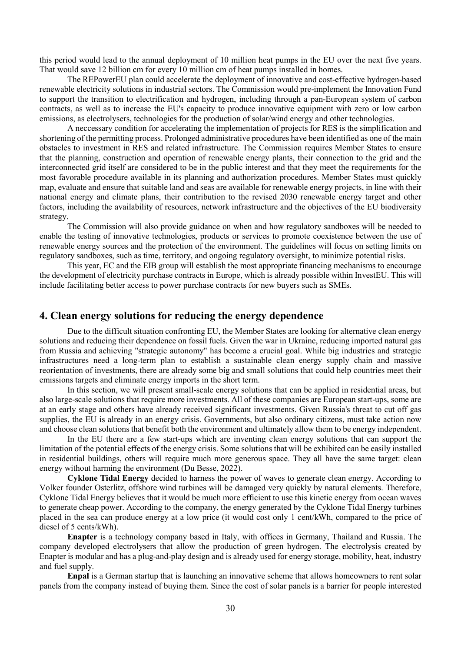this period would lead to the annual deployment of 10 million heat pumps in the EU over the next five years. That would save 12 billion cm for every 10 million cm of heat pumps installed in homes.

The REPowerEU plan could accelerate the deployment of innovative and cost-effective hydrogen-based renewable electricity solutions in industrial sectors. The Commission would pre-implement the Innovation Fund to support the transition to electrification and hydrogen, including through a pan-European system of carbon contracts, as well as to increase the EU's capacity to produce innovative equipment with zero or low carbon emissions, as electrolysers, technologies for the production of solar/wind energy and other technologies.

A neccessary condition for accelerating the implementation of projects for RES is the simplification and shortening of the permitting process. Prolonged administrative procedures have been identified as one of the main obstacles to investment in RES and related infrastructure. The Commission requires Member States to ensure that the planning, construction and operation of renewable energy plants, their connection to the grid and the interconnected grid itself are considered to be in the public interest and that they meet the requirements for the most favorable procedure available in its planning and authorization procedures. Member States must quickly map, evaluate and ensure that suitable land and seas are available for renewable energy projects, in line with their national energy and climate plans, their contribution to the revised 2030 renewable energy target and other factors, including the availability of resources, network infrastructure and the objectives of the EU biodiversity strategy.

The Commission will also provide guidance on when and how regulatory sandboxes will be needed to enable the testing of innovative technologies, products or services to promote coexistence between the use of renewable energy sources and the protection of the environment. The guidelines will focus on setting limits on regulatory sandboxes, such as time, territory, and ongoing regulatory oversight, to minimize potential risks.

This year, EC and the EIB group will establish the most appropriate financing mechanisms to encourage the development of electricity purchase contracts in Europe, which is already possible within InvestEU. This will include facilitating better access to power purchase contracts for new buyers such as SMEs.

### 4. Clean energy solutions for reducing the energy dependence

Due to the difficult situation confronting EU, the Member States are looking for alternative clean energy solutions and reducing their dependence on fossil fuels. Given the war in Ukraine, reducing imported natural gas from Russia and achieving "strategic autonomy" has become a crucial goal. While big industries and strategic infrastructures need a long-term plan to establish a sustainable clean energy supply chain and massive reorientation of investments, there are already some big and small solutions that could help countries meet their emissions targets and eliminate energy imports in the short term.

In this section, we will present small-scale energy solutions that can be applied in residential areas, but also large-scale solutions that require more investments. All of these companies are European start-ups, some are at an early stage and others have already received significant investments. Given Russia's threat to cut off gas supplies, the EU is already in an energy crisis. Governments, but also ordinary citizens, must take action now and choose clean solutions that benefit both the environment and ultimately allow them to be energy independent.

In the EU there are a few start-ups which are inventing clean energy solutions that can support the limitation of the potential effects of the energy crisis. Some solutions that will be exhibited can be easily installed in residential buildings, others will require much more generous space. They all have the same target: clean energy without harming the environment (Du Besse, 2022).

Cyklone Tidal Energy decided to harness the power of waves to generate clean energy. According to Volker founder Osterlitz, offshore wind turbines will be damaged very quickly by natural elements. Therefore, Cyklone Tidal Energy believes that it would be much more efficient to use this kinetic energy from ocean waves to generate cheap power. According to the company, the energy generated by the Cyklone Tidal Energy turbines placed in the sea can produce energy at a low price (it would cost only 1 cent/kWh, compared to the price of diesel of 5 cents/kWh).

Enapter is a technology company based in Italy, with offices in Germany, Thailand and Russia. The company developed electrolysers that allow the production of green hydrogen. The electrolysis created by Enapter is modular and has a plug-and-play design and is already used for energy storage, mobility, heat, industry and fuel supply.

Enpal is a German startup that is launching an innovative scheme that allows homeowners to rent solar panels from the company instead of buying them. Since the cost of solar panels is a barrier for people interested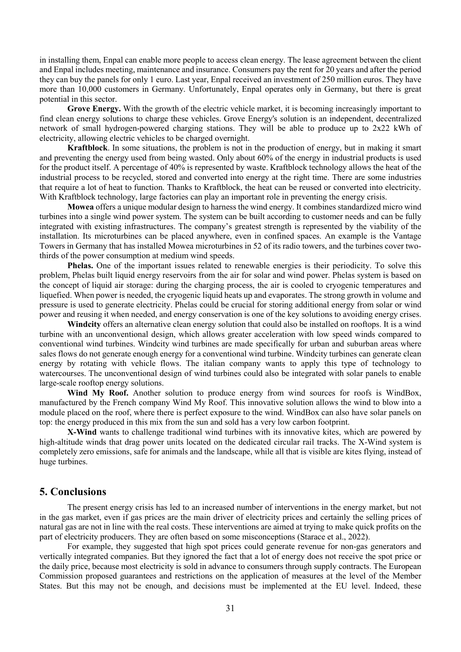in installing them, Enpal can enable more people to access clean energy. The lease agreement between the client and Enpal includes meeting, maintenance and insurance. Consumers pay the rent for 20 years and after the period they can buy the panels for only 1 euro. Last year, Enpal received an investment of 250 million euros. They have more than 10,000 customers in Germany. Unfortunately, Enpal operates only in Germany, but there is great potential in this sector.

Grove Energy. With the growth of the electric vehicle market, it is becoming increasingly important to find clean energy solutions to charge these vehicles. Grove Energy's solution is an independent, decentralized network of small hydrogen-powered charging stations. They will be able to produce up to 2x22 kWh of electricity, allowing electric vehicles to be charged overnight.

Kraftblock. In some situations, the problem is not in the production of energy, but in making it smart and preventing the energy used from being wasted. Only about 60% of the energy in industrial products is used for the product itself. A percentage of 40% is represented by waste. Kraftblock technology allows the heat of the industrial process to be recycled, stored and converted into energy at the right time. There are some industries that require a lot of heat to function. Thanks to Kraftblock, the heat can be reused or converted into electricity. With Kraftblock technology, large factories can play an important role in preventing the energy crisis.

Mowea offers a unique modular design to harness the wind energy. It combines standardized micro wind turbines into a single wind power system. The system can be built according to customer needs and can be fully integrated with existing infrastructures. The company's greatest strength is represented by the viability of the installation. Its microturbines can be placed anywhere, even in confined spaces. An example is the Vantage Towers in Germany that has installed Mowea microturbines in 52 of its radio towers, and the turbines cover twothirds of the power consumption at medium wind speeds.

Phelas. One of the important issues related to renewable energies is their periodicity. To solve this problem, Phelas built liquid energy reservoirs from the air for solar and wind power. Phelas system is based on the concept of liquid air storage: during the charging process, the air is cooled to cryogenic temperatures and liquefied. When power is needed, the cryogenic liquid heats up and evaporates. The strong growth in volume and pressure is used to generate electricity. Phelas could be crucial for storing additional energy from solar or wind power and reusing it when needed, and energy conservation is one of the key solutions to avoiding energy crises.

Windcity offers an alternative clean energy solution that could also be installed on rooftops. It is a wind turbine with an unconventional design, which allows greater acceleration with low speed winds compared to conventional wind turbines. Windcity wind turbines are made specifically for urban and suburban areas where sales flows do not generate enough energy for a conventional wind turbine. Windcity turbines can generate clean energy by rotating with vehicle flows. The italian company wants to apply this type of technology to watercourses. The unconventional design of wind turbines could also be integrated with solar panels to enable large-scale rooftop energy solutions.

Wind My Roof. Another solution to produce energy from wind sources for roofs is WindBox, manufactured by the French company Wind My Roof. This innovative solution allows the wind to blow into a module placed on the roof, where there is perfect exposure to the wind. WindBox can also have solar panels on top: the energy produced in this mix from the sun and sold has a very low carbon footprint.

X-Wind wants to challenge traditional wind turbines with its innovative kites, which are powered by high-altitude winds that drag power units located on the dedicated circular rail tracks. The X-Wind system is completely zero emissions, safe for animals and the landscape, while all that is visible are kites flying, instead of huge turbines.

#### 5. Conclusions

The present energy crisis has led to an increased number of interventions in the energy market, but not in the gas market, even if gas prices are the main driver of electricity prices and certainly the selling prices of natural gas are not in line with the real costs. These interventions are aimed at trying to make quick profits on the part of electricity producers. They are often based on some misconceptions (Starace et al., 2022).

For example, they suggested that high spot prices could generate revenue for non-gas generators and vertically integrated companies. But they ignored the fact that a lot of energy does not receive the spot price or the daily price, because most electricity is sold in advance to consumers through supply contracts. The European Commission proposed guarantees and restrictions on the application of measures at the level of the Member States. But this may not be enough, and decisions must be implemented at the EU level. Indeed, these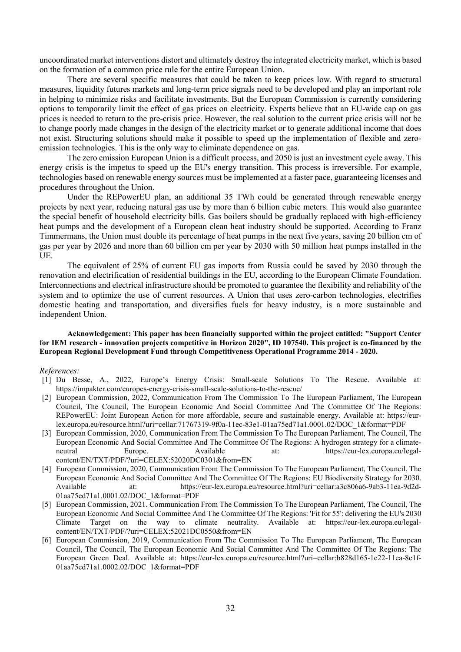uncoordinated market interventions distort and ultimately destroy the integrated electricity market, which is based on the formation of a common price rule for the entire European Union.

There are several specific measures that could be taken to keep prices low. With regard to structural measures, liquidity futures markets and long-term price signals need to be developed and play an important role in helping to minimize risks and facilitate investments. But the European Commission is currently considering options to temporarily limit the effect of gas prices on electricity. Experts believe that an EU-wide cap on gas prices is needed to return to the pre-crisis price. However, the real solution to the current price crisis will not be to change poorly made changes in the design of the electricity market or to generate additional income that does not exist. Structuring solutions should make it possible to speed up the implementation of flexible and zeroemission technologies. This is the only way to eliminate dependence on gas.

The zero emission European Union is a difficult process, and 2050 is just an investment cycle away. This energy crisis is the impetus to speed up the EU's energy transition. This process is irreversible. For example, technologies based on renewable energy sources must be implemented at a faster pace, guaranteeing licenses and procedures throughout the Union.

Under the REPowerEU plan, an additional 35 TWh could be generated through renewable energy projects by next year, reducing natural gas use by more than 6 billion cubic meters. This would also guarantee the special benefit of household electricity bills. Gas boilers should be gradually replaced with high-efficiency heat pumps and the development of a European clean heat industry should be supported. According to Franz Timmermans, the Union must double its percentage of heat pumps in the next five years, saving 20 billion cm of gas per year by 2026 and more than 60 billion cm per year by 2030 with 50 million heat pumps installed in the UE.

The equivalent of 25% of current EU gas imports from Russia could be saved by 2030 through the renovation and electrification of residential buildings in the EU, according to the European Climate Foundation. Interconnections and electrical infrastructure should be promoted to guarantee the flexibility and reliability of the system and to optimize the use of current resources. A Union that uses zero-carbon technologies, electrifies domestic heating and transportation, and diversifies fuels for heavy industry, is a more sustainable and independent Union.

#### Acknowledgement: This paper has been financially supported within the project entitled: "Support Center for IEM research - innovation projects competitive in Horizon 2020", ID 107540. This project is co-financed by the European Regional Development Fund through Competitiveness Operational Programme 2014 - 2020.

#### References:

- [1] Du Besse, A., 2022, Europe's Energy Crisis: Small-scale Solutions To The Rescue. Available at: https://impakter.com/europes-energy-crisis-small-scale-solutions-to-the-rescue/
- [2] European Commission, 2022, Communication From The Commission To The European Parliament, The European Council, The Council, The European Economic And Social Committee And The Committee Of The Regions: REPowerEU: Joint European Action for more affordable, secure and sustainable energy. Available at: https://eurlex.europa.eu/resource.html?uri=cellar:71767319-9f0a-11ec-83e1-01aa75ed71a1.0001.02/DOC\_1&format=PDF
- [3] European Commission, 2020, Communication From The Commission To The European Parliament, The Council, The European Economic And Social Committee And The Committee Of The Regions: A hydrogen strategy for a climateneutral Europe. Available at: https://eur-lex.europa.eu/legalcontent/EN/TXT/PDF/?uri=CELEX:52020DC0301&from=EN
- [4] European Commission, 2020, Communication From The Commission To The European Parliament, The Council, The European Economic And Social Committee And The Committee Of The Regions: EU Biodiversity Strategy for 2030. Available at: https://eur-lex.europa.eu/resource.html?uri=cellar:a3c806a6-9ab3-11ea-9d2d-01aa75ed71a1.0001.02/DOC\_1&format=PDF
- [5] European Commission, 2021, Communication From The Commission To The European Parliament, The Council, The European Economic And Social Committee And The Committee Of The Regions: 'Fit for 55': delivering the EU's 2030 Climate Target on the way to climate neutrality. Available at: https://eur-lex.europa.eu/legalcontent/EN/TXT/PDF/?uri=CELEX:52021DC0550&from=EN
- [6] European Commission, 2019, Communication From The Commission To The European Parliament, The European Council, The Council, The European Economic And Social Committee And The Committee Of The Regions: The European Green Deal. Available at: https://eur-lex.europa.eu/resource.html?uri=cellar:b828d165-1c22-11ea-8c1f-01aa75ed71a1.0002.02/DOC\_1&format=PDF